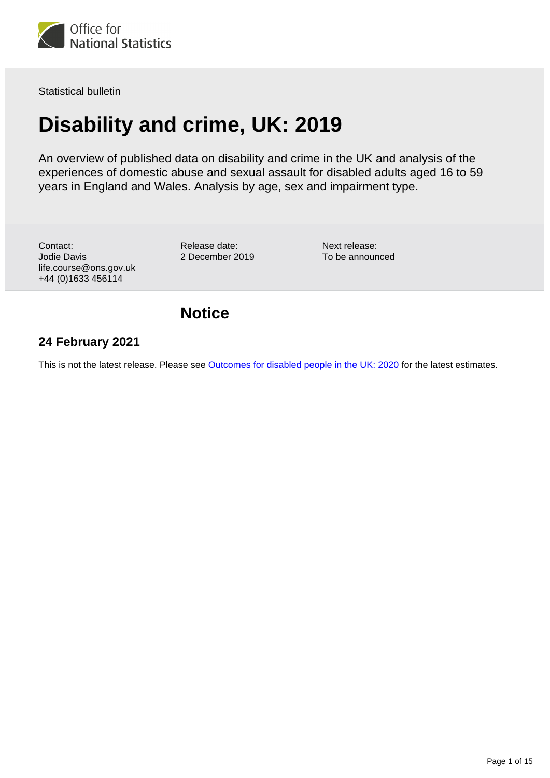

Statistical bulletin

# **Disability and crime, UK: 2019**

An overview of published data on disability and crime in the UK and analysis of the experiences of domestic abuse and sexual assault for disabled adults aged 16 to 59 years in England and Wales. Analysis by age, sex and impairment type.

Contact: Jodie Davis life.course@ons.gov.uk +44 (0)1633 456114

Release date: 2 December 2019 Next release: To be announced

# **Notice**

# **24 February 2021**

This is not the latest release. Please see [Outcomes for disabled people in the UK: 2020](https://www.ons.gov.uk/peoplepopulationandcommunity/healthandsocialcare/disability/articles/outcomesfordisabledpeopleintheuk/2020) for the latest estimates.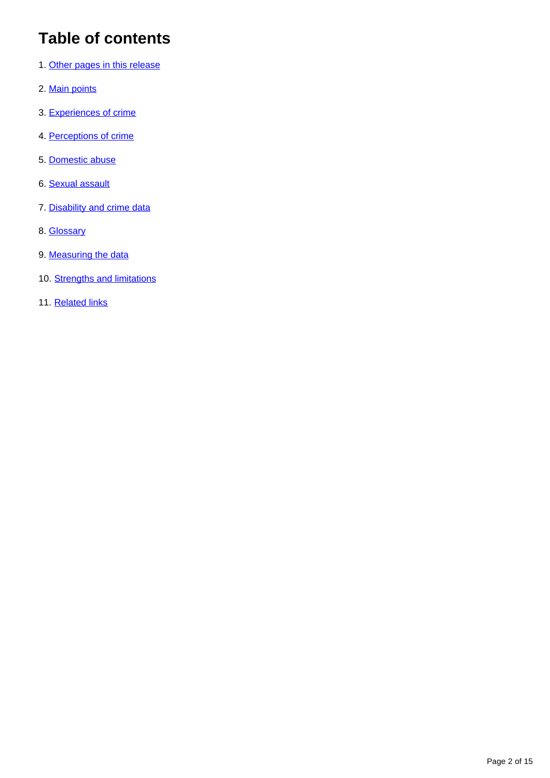# **Table of contents**

- 1. [Other pages in this release](#page-2-0)
- 2. [Main points](#page-2-1)
- 3. [Experiences of crime](#page-3-0)
- 4. [Perceptions of crime](#page-4-0)
- 5. [Domestic abuse](#page-5-0)
- 6. [Sexual assault](#page-8-0)
- 7. [Disability and crime data](#page-11-0)
- 8. [Glossary](#page-11-1)
- 9. [Measuring the data](#page-12-0)
- 10. [Strengths and limitations](#page-13-0)
- 11. [Related links](#page-14-0)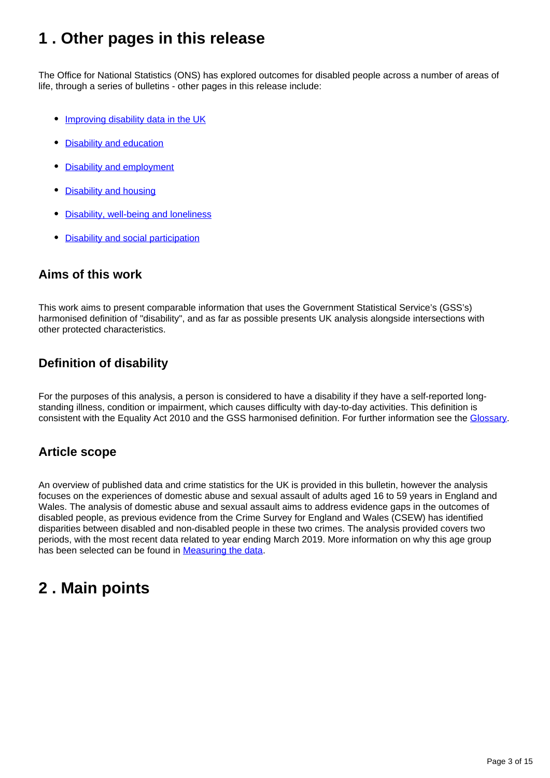# <span id="page-2-0"></span>**1 . Other pages in this release**

The Office for National Statistics (ONS) has explored outcomes for disabled people across a number of areas of life, through a series of bulletins - other pages in this release include:

- [Improving disability data in the UK](https://www.ons.gov.uk/peoplepopulationandcommunity/healthandsocialcare/disability/articles/improvingdisabilitydataintheuk/2019)
- [Disability and education](https://www.ons.gov.uk/peoplepopulationandcommunity/healthandsocialcare/disability/bulletins/disabilityandeducationuk/2019)
- [Disability and employment](http://https://www.ons.gov.uk/peoplepopulationandcommunity/healthandsocialcare/disability/bulletins/disabilityandemploymentuk/2019)
- [Disability and housing](https://www.ons.gov.uk/peoplepopulationandcommunity/healthandsocialcare/disability/bulletins/disabilityandhousinguk/2019)
- [Disability, well-being and loneliness](https://www.ons.gov.uk/peoplepopulationandcommunity/healthandsocialcare/disability/bulletins/disabilitywellbeingandlonelinessuk/2019)
- [Disability and social participation](https://www.ons.gov.uk/peoplepopulationandcommunity/healthandsocialcare/disability/bulletins/disabilityandsocialparticipationengland/2018)

# **Aims of this work**

This work aims to present comparable information that uses the Government Statistical Service's (GSS's) harmonised definition of "disability", and as far as possible presents UK analysis alongside intersections with other protected characteristics.

# **Definition of disability**

For the purposes of this analysis, a person is considered to have a disability if they have a self-reported longstanding illness, condition or impairment, which causes difficulty with day-to-day activities. This definition is consistent with the Equality Act 2010 and the GSS harmonised definition. For further information see the [Glossary.](https://www.ons.gov.uk/peoplepopulationandcommunity/healthandsocialcare/disability/bulletins/disabilityandcrimeuk/2019#glossary)

## **Article scope**

An overview of published data and crime statistics for the UK is provided in this bulletin, however the analysis focuses on the experiences of domestic abuse and sexual assault of adults aged 16 to 59 years in England and Wales. The analysis of domestic abuse and sexual assault aims to address evidence gaps in the outcomes of disabled people, as previous evidence from the Crime Survey for England and Wales (CSEW) has identified disparities between disabled and non-disabled people in these two crimes. The analysis provided covers two periods, with the most recent data related to year ending March 2019. More information on why this age group has been selected can be found in [Measuring the data.](https://www.ons.gov.uk/peoplepopulationandcommunity/healthandsocialcare/disability/bulletins/disabilityandcrimeuk/2019#measuring-the-data)

# <span id="page-2-1"></span>**2 . Main points**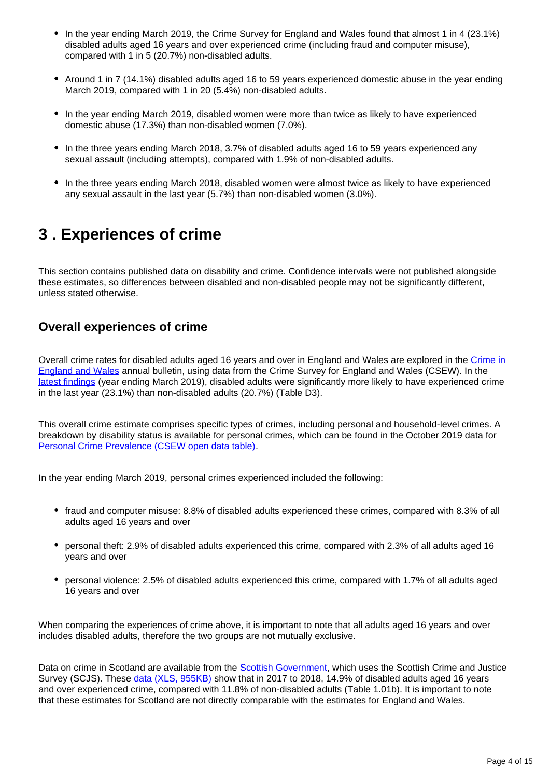- In the year ending March 2019, the Crime Survey for England and Wales found that almost 1 in 4 (23.1%) disabled adults aged 16 years and over experienced crime (including fraud and computer misuse), compared with 1 in 5 (20.7%) non-disabled adults.
- Around 1 in 7 (14.1%) disabled adults aged 16 to 59 years experienced domestic abuse in the year ending March 2019, compared with 1 in 20 (5.4%) non-disabled adults.
- In the year ending March 2019, disabled women were more than twice as likely to have experienced domestic abuse (17.3%) than non-disabled women (7.0%).
- In the three years ending March 2018, 3.7% of disabled adults aged 16 to 59 years experienced any sexual assault (including attempts), compared with 1.9% of non-disabled adults.
- In the three years ending March 2018, disabled women were almost twice as likely to have experienced any sexual assault in the last year (5.7%) than non-disabled women (3.0%).

# <span id="page-3-0"></span>**3 . Experiences of crime**

This section contains published data on disability and crime. Confidence intervals were not published alongside these estimates, so differences between disabled and non-disabled people may not be significantly different, unless stated otherwise.

## **Overall experiences of crime**

Overall crime rates for disabled adults aged 16 years and over in England and Wales are explored in the [Crime in](https://www.ons.gov.uk/peoplepopulationandcommunity/crimeandjustice)  [England and Wales](https://www.ons.gov.uk/peoplepopulationandcommunity/crimeandjustice) annual bulletin, using data from the Crime Survey for England and Wales (CSEW). In the [latest findings](https://www.ons.gov.uk/peoplepopulationandcommunity/crimeandjustice/datasets/crimeinenglandandwalesannualtrendanddemographictables) (year ending March 2019), disabled adults were significantly more likely to have experienced crime in the last year (23.1%) than non-disabled adults (20.7%) (Table D3).

This overall crime estimate comprises specific types of crimes, including personal and household-level crimes. A breakdown by disability status is available for personal crimes, which can be found in the October 2019 data for [Personal Crime Prevalence \(CSEW open data table\).](https://www.ons.gov.uk/peoplepopulationandcommunity/crimeandjustice/datasets/personalcrimeprevalencecsewopendatatable/current)

In the year ending March 2019, personal crimes experienced included the following:

- fraud and computer misuse: 8.8% of disabled adults experienced these crimes, compared with 8.3% of all adults aged 16 years and over
- personal theft: 2.9% of disabled adults experienced this crime, compared with 2.3% of all adults aged 16 years and over
- personal violence: 2.5% of disabled adults experienced this crime, compared with 1.7% of all adults aged 16 years and over

When comparing the experiences of crime above, it is important to note that all adults aged 16 years and over includes disabled adults, therefore the two groups are not mutually exclusive.

Data on crime in Scotland are available from the [Scottish Government](https://www2.gov.scot/Topics/Statistics/Browse/Crime-Justice/Datasets/SCJS), which uses the Scottish Crime and Justice Survey (SCJS). These [data \(XLS, 955KB\)](https://www2.gov.scot/Resource/0054/00546887.xlsx) show that in 2017 to 2018, 14.9% of disabled adults aged 16 years and over experienced crime, compared with 11.8% of non-disabled adults (Table 1.01b). It is important to note that these estimates for Scotland are not directly comparable with the estimates for England and Wales.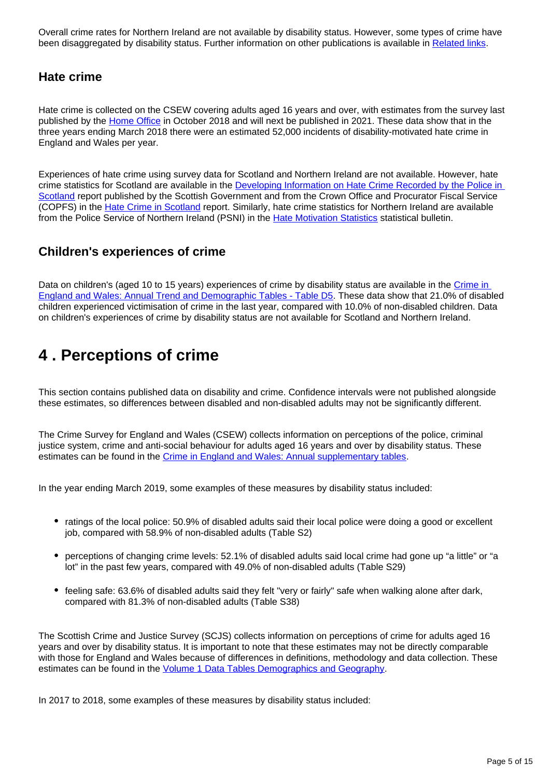Overall crime rates for Northern Ireland are not available by disability status. However, some types of crime have been disaggregated by disability status. Further information on other publications is available in [Related links](https://www.ons.gov.uk/peoplepopulationandcommunity/healthandsocialcare/disability/bulletins/disabilityandcrimeuk/2019#related-links).

### **Hate crime**

Hate crime is collected on the CSEW covering adults aged 16 years and over, with estimates from the survey last published by the [Home Office](https://assets.publishing.service.gov.uk/government/uploads/system/uploads/attachment_data/file/748598/hate-crime-1718-hosb2018.pdf) in October 2018 and will next be published in 2021. These data show that in the three years ending March 2018 there were an estimated 52,000 incidents of disability-motivated hate crime in England and Wales per year.

Experiences of hate crime using survey data for Scotland and Northern Ireland are not available. However, hate crime statistics for Scotland are available in the Developing Information on Hate Crime Recorded by the Police in [Scotland](https://www.gov.scot/publications/developing-information-hate-crime-recorded-police-scotland/) report published by the Scottish Government and from the Crown Office and Procurator Fiscal Service (COPFS) in the [Hate Crime in Scotland](https://www.copfs.gov.uk/publications/equality-and-diversity) report. Similarly, hate crime statistics for Northern Ireland are available from the Police Service of Northern Ireland (PSNI) in the [Hate Motivation Statistics](https://www.psni.police.uk/inside-psni/Statistics/hate-motivation-statistics/) statistical bulletin.

### **Children's experiences of crime**

Data on children's (aged 10 to 15 years) experiences of crime by disability status are available in the Crime in [England and Wales: Annual Trend and Demographic Tables - Table D5.](https://www.ons.gov.uk/peoplepopulationandcommunity/crimeandjustice/datasets/crimeinenglandandwalesannualtrendanddemographictables) These data show that 21.0% of disabled children experienced victimisation of crime in the last year, compared with 10.0% of non-disabled children. Data on children's experiences of crime by disability status are not available for Scotland and Northern Ireland.

# <span id="page-4-0"></span>**4 . Perceptions of crime**

This section contains published data on disability and crime. Confidence intervals were not published alongside these estimates, so differences between disabled and non-disabled adults may not be significantly different.

The Crime Survey for England and Wales (CSEW) collects information on perceptions of the police, criminal justice system, crime and anti-social behaviour for adults aged 16 years and over by disability status. These estimates can be found in the [Crime in England and Wales: Annual supplementary tables.](https://www.ons.gov.uk/peoplepopulationandcommunity/crimeandjustice/datasets/crimeinenglandandwalesannualsupplementarytables)

In the year ending March 2019, some examples of these measures by disability status included:

- ratings of the local police: 50.9% of disabled adults said their local police were doing a good or excellent job, compared with 58.9% of non-disabled adults (Table S2)
- perceptions of changing crime levels: 52.1% of disabled adults said local crime had gone up "a little" or "a lot" in the past few years, compared with 49.0% of non-disabled adults (Table S29)
- feeling safe: 63.6% of disabled adults said they felt "very or fairly" safe when walking alone after dark, compared with 81.3% of non-disabled adults (Table S38)

The Scottish Crime and Justice Survey (SCJS) collects information on perceptions of crime for adults aged 16 years and over by disability status. It is important to note that these estimates may not be directly comparable with those for England and Wales because of differences in definitions, methodology and data collection. These estimates can be found in the [Volume 1 Data Tables Demographics and Geography](https://www2.gov.scot/Topics/Statistics/Browse/Crime-Justice/Datasets/SCJS/SCJS2016-17-vol-1).

In 2017 to 2018, some examples of these measures by disability status included: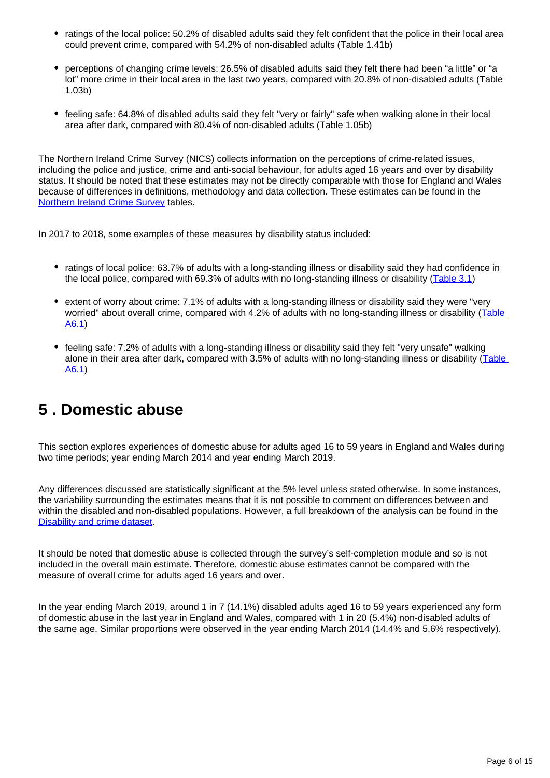- ratings of the local police: 50.2% of disabled adults said they felt confident that the police in their local area could prevent crime, compared with 54.2% of non-disabled adults (Table 1.41b)
- perceptions of changing crime levels: 26.5% of disabled adults said they felt there had been "a little" or "a lot" more crime in their local area in the last two years, compared with 20.8% of non-disabled adults (Table 1.03b)
- feeling safe: 64.8% of disabled adults said they felt "very or fairly" safe when walking alone in their local area after dark, compared with 80.4% of non-disabled adults (Table 1.05b)

The Northern Ireland Crime Survey (NICS) collects information on the perceptions of crime-related issues, including the police and justice, crime and anti-social behaviour, for adults aged 16 years and over by disability status. It should be noted that these estimates may not be directly comparable with those for England and Wales because of differences in definitions, methodology and data collection. These estimates can be found in the [Northern Ireland Crime Survey](https://www.justice-ni.gov.uk/articles/northern-ireland-crime-survey) tables.

In 2017 to 2018, some examples of these measures by disability status included:

- ratings of local police: 63.7% of adults with a long-standing illness or disability said they had confidence in the local police, compared with 69.3% of adults with no long-standing illness or disability ([Table 3.1](https://www.justice-ni.gov.uk/publications/perceptions-policing-and-justice-findings-17-18-ni-crime-survey))
- extent of worry about crime: 7.1% of adults with a long-standing illness or disability said they were "very worried" about overall crime, compared with 4.2% of adults with no long-standing illness or disability (Table [A6.1](https://www.justice-ni.gov.uk/publications/perceptions-crime-findings-201718-northern-ireland-crime-survey))
- feeling safe: 7.2% of adults with a long-standing illness or disability said they felt "very unsafe" walking alone in their area after dark, compared with 3.5% of adults with no long-standing illness or disability ([Table](https://www.justice-ni.gov.uk/publications/perceptions-crime-findings-201718-northern-ireland-crime-survey)  [A6.1](https://www.justice-ni.gov.uk/publications/perceptions-crime-findings-201718-northern-ireland-crime-survey))

# <span id="page-5-0"></span>**5 . Domestic abuse**

This section explores experiences of domestic abuse for adults aged 16 to 59 years in England and Wales during two time periods; year ending March 2014 and year ending March 2019.

Any differences discussed are statistically significant at the 5% level unless stated otherwise. In some instances, the variability surrounding the estimates means that it is not possible to comment on differences between and within the disabled and non-disabled populations. However, a full breakdown of the analysis can be found in the [Disability and crime dataset](https://www.ons.gov.uk/peoplepopulationandcommunity/healthandsocialcare/disability/datasets/disabilityandcrime).

It should be noted that domestic abuse is collected through the survey's self-completion module and so is not included in the overall main estimate. Therefore, domestic abuse estimates cannot be compared with the measure of overall crime for adults aged 16 years and over.

In the year ending March 2019, around 1 in 7 (14.1%) disabled adults aged 16 to 59 years experienced any form of domestic abuse in the last year in England and Wales, compared with 1 in 20 (5.4%) non-disabled adults of the same age. Similar proportions were observed in the year ending March 2014 (14.4% and 5.6% respectively).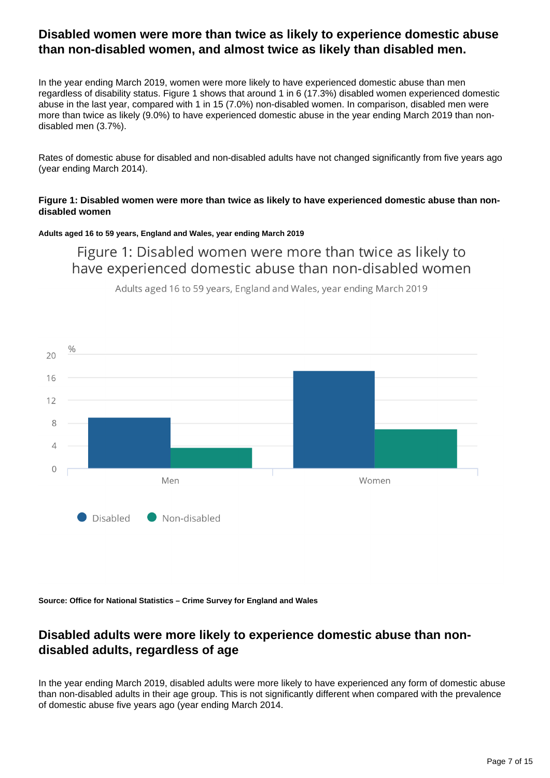## **Disabled women were more than twice as likely to experience domestic abuse than non-disabled women, and almost twice as likely than disabled men.**

In the year ending March 2019, women were more likely to have experienced domestic abuse than men regardless of disability status. Figure 1 shows that around 1 in 6 (17.3%) disabled women experienced domestic abuse in the last year, compared with 1 in 15 (7.0%) non-disabled women. In comparison, disabled men were more than twice as likely (9.0%) to have experienced domestic abuse in the year ending March 2019 than nondisabled men (3.7%).

Rates of domestic abuse for disabled and non-disabled adults have not changed significantly from five years ago (year ending March 2014).

### **Figure 1: Disabled women were more than twice as likely to have experienced domestic abuse than nondisabled women**

### **Adults aged 16 to 59 years, England and Wales, year ending March 2019**

Figure 1: Disabled women were more than twice as likely to have experienced domestic abuse than non-disabled women

Adults aged 16 to 59 years, England and Wales, year ending March 2019



**Source: Office for National Statistics – Crime Survey for England and Wales**

## **Disabled adults were more likely to experience domestic abuse than nondisabled adults, regardless of age**

In the year ending March 2019, disabled adults were more likely to have experienced any form of domestic abuse than non-disabled adults in their age group. This is not significantly different when compared with the prevalence of domestic abuse five years ago (year ending March 2014.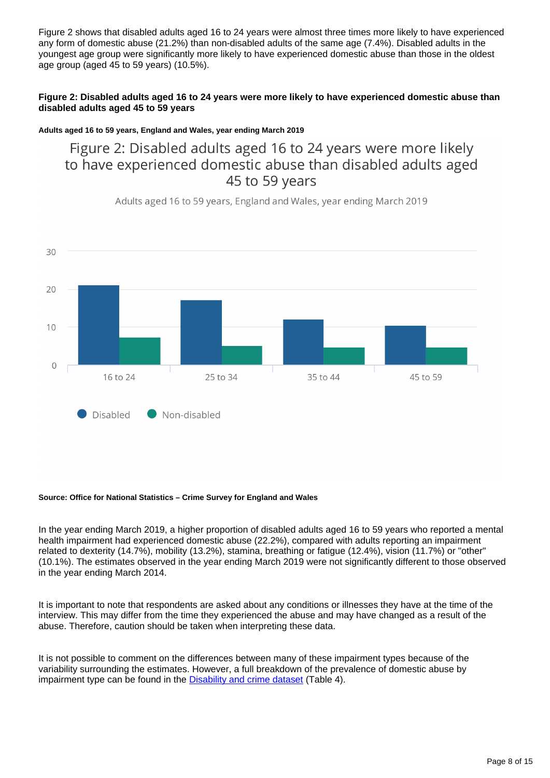Figure 2 shows that disabled adults aged 16 to 24 years were almost three times more likely to have experienced any form of domestic abuse (21.2%) than non-disabled adults of the same age (7.4%). Disabled adults in the youngest age group were significantly more likely to have experienced domestic abuse than those in the oldest age group (aged 45 to 59 years) (10.5%).

### **Figure 2: Disabled adults aged 16 to 24 years were more likely to have experienced domestic abuse than disabled adults aged 45 to 59 years**

### **Adults aged 16 to 59 years, England and Wales, year ending March 2019**

Figure 2: Disabled adults aged 16 to 24 years were more likely to have experienced domestic abuse than disabled adults aged 45 to 59 years

30 20  $10$  $\circ$ 16 to 24 25 to 34 35 to 44 45 to 59 Disabled Non-disabled

Adults aged 16 to 59 years, England and Wales, year ending March 2019

#### **Source: Office for National Statistics – Crime Survey for England and Wales**

In the year ending March 2019, a higher proportion of disabled adults aged 16 to 59 years who reported a mental health impairment had experienced domestic abuse (22.2%), compared with adults reporting an impairment related to dexterity (14.7%), mobility (13.2%), stamina, breathing or fatigue (12.4%), vision (11.7%) or "other" (10.1%). The estimates observed in the year ending March 2019 were not significantly different to those observed in the year ending March 2014.

It is important to note that respondents are asked about any conditions or illnesses they have at the time of the interview. This may differ from the time they experienced the abuse and may have changed as a result of the abuse. Therefore, caution should be taken when interpreting these data.

It is not possible to comment on the differences between many of these impairment types because of the variability surrounding the estimates. However, a full breakdown of the prevalence of domestic abuse by impairment type can be found in the **[Disability and crime dataset](https://www.ons.gov.uk/peoplepopulationandcommunity/healthandsocialcare/disability/datasets/disabilityandcrime)** (Table 4).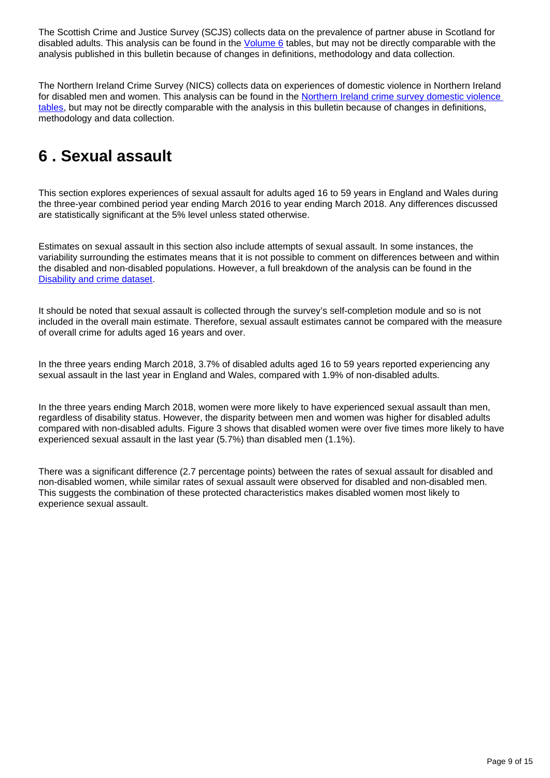The Scottish Crime and Justice Survey (SCJS) collects data on the prevalence of partner abuse in Scotland for disabled adults. This analysis can be found in the  $Volume 6$  tables, but may not be directly comparable with the analysis published in this bulletin because of changes in definitions, methodology and data collection.

The Northern Ireland Crime Survey (NICS) collects data on experiences of domestic violence in Northern Ireland for disabled men and women. This analysis can be found in the [Northern Ireland crime survey domestic violence](https://www.justice-ni.gov.uk/publications/r-s-bulletin-172017-experience-domestic-violence-findings-201112-201516-northern-ireland-crime)  [tables,](https://www.justice-ni.gov.uk/publications/r-s-bulletin-172017-experience-domestic-violence-findings-201112-201516-northern-ireland-crime) but may not be directly comparable with the analysis in this bulletin because of changes in definitions, methodology and data collection.

# <span id="page-8-0"></span>**6 . Sexual assault**

This section explores experiences of sexual assault for adults aged 16 to 59 years in England and Wales during the three-year combined period year ending March 2016 to year ending March 2018. Any differences discussed are statistically significant at the 5% level unless stated otherwise.

Estimates on sexual assault in this section also include attempts of sexual assault. In some instances, the variability surrounding the estimates means that it is not possible to comment on differences between and within the disabled and non-disabled populations. However, a full breakdown of the analysis can be found in the [Disability and crime dataset](https://www.ons.gov.uk/peoplepopulationandcommunity/healthandsocialcare/disability/datasets/disabilityandcrime).

It should be noted that sexual assault is collected through the survey's self-completion module and so is not included in the overall main estimate. Therefore, sexual assault estimates cannot be compared with the measure of overall crime for adults aged 16 years and over.

In the three years ending March 2018, 3.7% of disabled adults aged 16 to 59 years reported experiencing any sexual assault in the last year in England and Wales, compared with 1.9% of non-disabled adults.

In the three years ending March 2018, women were more likely to have experienced sexual assault than men, regardless of disability status. However, the disparity between men and women was higher for disabled adults compared with non-disabled adults. Figure 3 shows that disabled women were over five times more likely to have experienced sexual assault in the last year (5.7%) than disabled men (1.1%).

There was a significant difference (2.7 percentage points) between the rates of sexual assault for disabled and non-disabled women, while similar rates of sexual assault were observed for disabled and non-disabled men. This suggests the combination of these protected characteristics makes disabled women most likely to experience sexual assault.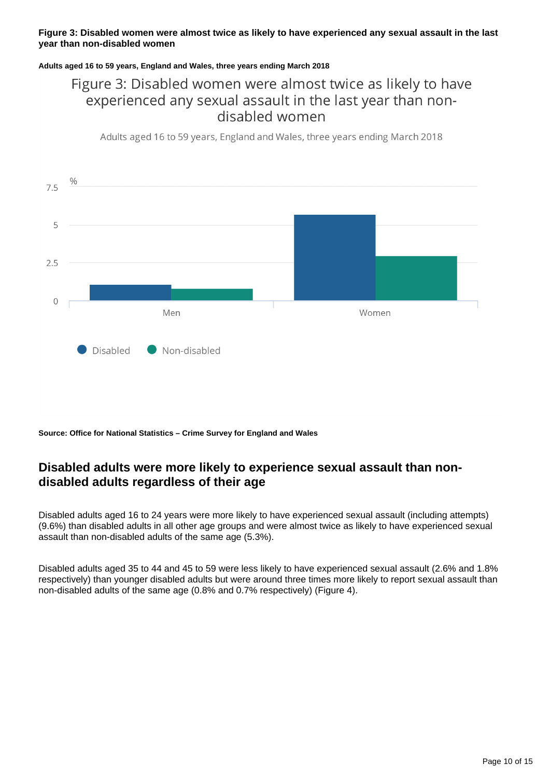### **Figure 3: Disabled women were almost twice as likely to have experienced any sexual assault in the last year than non-disabled women**

### **Adults aged 16 to 59 years, England and Wales, three years ending March 2018**

# Figure 3: Disabled women were almost twice as likely to have experienced any sexual assault in the last year than nondisabled women

Adults aged 16 to 59 years, England and Wales, three years ending March 2018



**Source: Office for National Statistics – Crime Survey for England and Wales**

# **Disabled adults were more likely to experience sexual assault than nondisabled adults regardless of their age**

Disabled adults aged 16 to 24 years were more likely to have experienced sexual assault (including attempts) (9.6%) than disabled adults in all other age groups and were almost twice as likely to have experienced sexual assault than non-disabled adults of the same age (5.3%).

Disabled adults aged 35 to 44 and 45 to 59 were less likely to have experienced sexual assault (2.6% and 1.8% respectively) than younger disabled adults but were around three times more likely to report sexual assault than non-disabled adults of the same age (0.8% and 0.7% respectively) (Figure 4).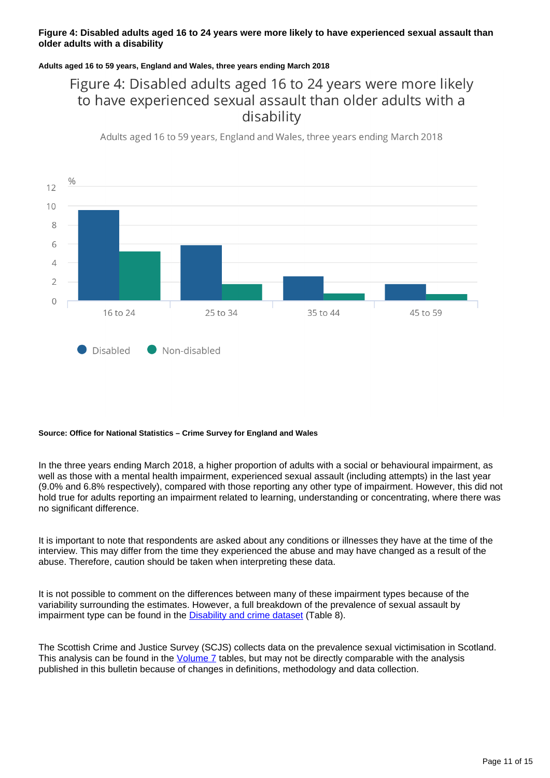### **Figure 4: Disabled adults aged 16 to 24 years were more likely to have experienced sexual assault than older adults with a disability**

### **Adults aged 16 to 59 years, England and Wales, three years ending March 2018**

# Figure 4: Disabled adults aged 16 to 24 years were more likely to have experienced sexual assault than older adults with a disability

Adults aged 16 to 59 years, England and Wales, three years ending March 2018



#### **Source: Office for National Statistics – Crime Survey for England and Wales**

In the three years ending March 2018, a higher proportion of adults with a social or behavioural impairment, as well as those with a mental health impairment, experienced sexual assault (including attempts) in the last year (9.0% and 6.8% respectively), compared with those reporting any other type of impairment. However, this did not hold true for adults reporting an impairment related to learning, understanding or concentrating, where there was no significant difference.

It is important to note that respondents are asked about any conditions or illnesses they have at the time of the interview. This may differ from the time they experienced the abuse and may have changed as a result of the abuse. Therefore, caution should be taken when interpreting these data.

It is not possible to comment on the differences between many of these impairment types because of the variability surrounding the estimates. However, a full breakdown of the prevalence of sexual assault by impairment type can be found in the [Disability and crime dataset](https://www.ons.gov.uk/peoplepopulationandcommunity/healthandsocialcare/disability/datasets/disabilityandcrime) (Table 8).

The Scottish Crime and Justice Survey (SCJS) collects data on the prevalence sexual victimisation in Scotland. This analysis can be found in the [Volume 7](https://www2.gov.scot/Topics/Statistics/Browse/Crime-Justice/Datasets/SCJS/CJS2017-18vol7) tables, but may not be directly comparable with the analysis published in this bulletin because of changes in definitions, methodology and data collection.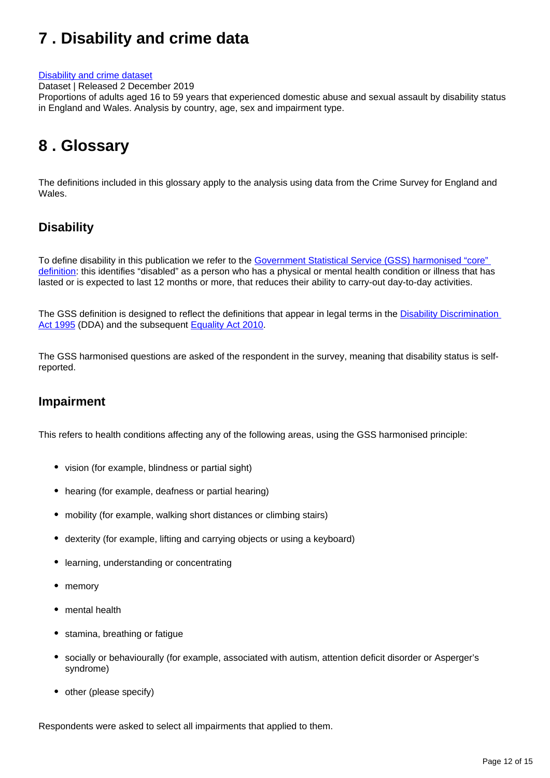# <span id="page-11-0"></span>**7 . Disability and crime data**

#### [Disability and crime dataset](https://www.ons.gov.uk/peoplepopulationandcommunity/healthandsocialcare/disability/datasets/disabilityandcrime)

Dataset | Released 2 December 2019

Proportions of adults aged 16 to 59 years that experienced domestic abuse and sexual assault by disability status in England and Wales. Analysis by country, age, sex and impairment type.

# <span id="page-11-1"></span>**8 . Glossary**

The definitions included in this glossary apply to the analysis using data from the Crime Survey for England and Wales.

## **Disability**

To define disability in this publication we refer to the Government Statistical Service (GSS) harmonised "core" [definition](https://gss.civilservice.gov.uk/policy-store/measuring-disability-for-the-equality-act-2010/): this identifies "disabled" as a person who has a physical or mental health condition or illness that has lasted or is expected to last 12 months or more, that reduces their ability to carry-out day-to-day activities.

The GSS definition is designed to reflect the definitions that appear in legal terms in the Disability Discrimination [Act 1995](http://www.legislation.gov.uk/ukpga/1995/50/contents) (DDA) and the subsequent [Equality Act 2010](http://www.legislation.gov.uk/ukpga/2010/15/section/6).

The GSS harmonised questions are asked of the respondent in the survey, meaning that disability status is selfreported.

### **Impairment**

This refers to health conditions affecting any of the following areas, using the GSS harmonised principle:

- vision (for example, blindness or partial sight)
- hearing (for example, deafness or partial hearing)
- mobility (for example, walking short distances or climbing stairs)
- dexterity (for example, lifting and carrying objects or using a keyboard)
- learning, understanding or concentrating
- memory
- mental health
- stamina, breathing or fatigue
- socially or behaviourally (for example, associated with autism, attention deficit disorder or Asperger's syndrome)
- other (please specify)

Respondents were asked to select all impairments that applied to them.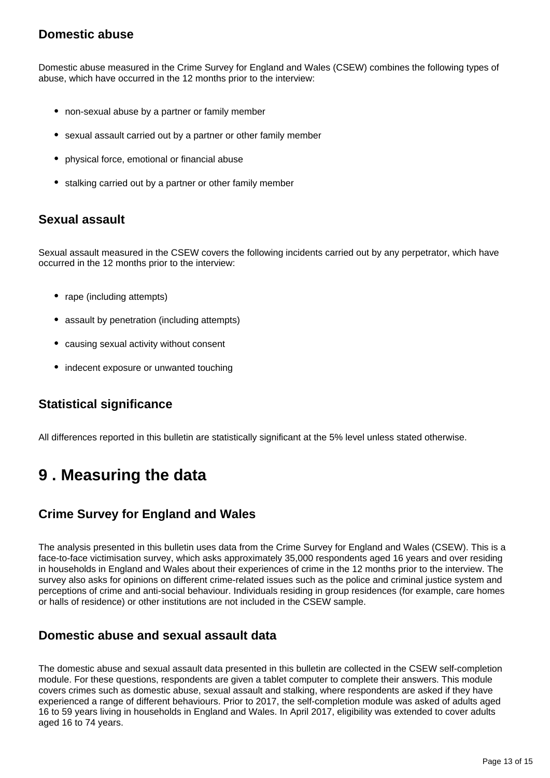## **Domestic abuse**

Domestic abuse measured in the Crime Survey for England and Wales (CSEW) combines the following types of abuse, which have occurred in the 12 months prior to the interview:

- non-sexual abuse by a partner or family member
- sexual assault carried out by a partner or other family member
- physical force, emotional or financial abuse
- stalking carried out by a partner or other family member

# **Sexual assault**

Sexual assault measured in the CSEW covers the following incidents carried out by any perpetrator, which have occurred in the 12 months prior to the interview:

- rape (including attempts)
- assault by penetration (including attempts)
- causing sexual activity without consent
- indecent exposure or unwanted touching

## **Statistical significance**

All differences reported in this bulletin are statistically significant at the 5% level unless stated otherwise.

# <span id="page-12-0"></span>**9 . Measuring the data**

# **Crime Survey for England and Wales**

The analysis presented in this bulletin uses data from the Crime Survey for England and Wales (CSEW). This is a face-to-face victimisation survey, which asks approximately 35,000 respondents aged 16 years and over residing in households in England and Wales about their experiences of crime in the 12 months prior to the interview. The survey also asks for opinions on different crime-related issues such as the police and criminal justice system and perceptions of crime and anti-social behaviour. Individuals residing in group residences (for example, care homes or halls of residence) or other institutions are not included in the CSEW sample.

## **Domestic abuse and sexual assault data**

The domestic abuse and sexual assault data presented in this bulletin are collected in the CSEW self-completion module. For these questions, respondents are given a tablet computer to complete their answers. This module covers crimes such as domestic abuse, sexual assault and stalking, where respondents are asked if they have experienced a range of different behaviours. Prior to 2017, the self-completion module was asked of adults aged 16 to 59 years living in households in England and Wales. In April 2017, eligibility was extended to cover adults aged 16 to 74 years.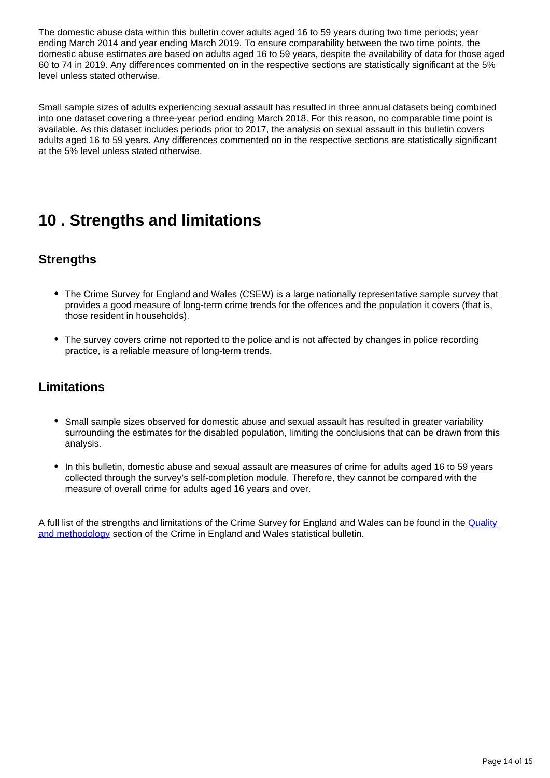The domestic abuse data within this bulletin cover adults aged 16 to 59 years during two time periods; year ending March 2014 and year ending March 2019. To ensure comparability between the two time points, the domestic abuse estimates are based on adults aged 16 to 59 years, despite the availability of data for those aged 60 to 74 in 2019. Any differences commented on in the respective sections are statistically significant at the 5% level unless stated otherwise.

Small sample sizes of adults experiencing sexual assault has resulted in three annual datasets being combined into one dataset covering a three-year period ending March 2018. For this reason, no comparable time point is available. As this dataset includes periods prior to 2017, the analysis on sexual assault in this bulletin covers adults aged 16 to 59 years. Any differences commented on in the respective sections are statistically significant at the 5% level unless stated otherwise.

# <span id="page-13-0"></span>**10 . Strengths and limitations**

## **Strengths**

- The Crime Survey for England and Wales (CSEW) is a large nationally representative sample survey that provides a good measure of long-term crime trends for the offences and the population it covers (that is, those resident in households).
- The survey covers crime not reported to the police and is not affected by changes in police recording practice, is a reliable measure of long-term trends.

## **Limitations**

- Small sample sizes observed for domestic abuse and sexual assault has resulted in greater variability surrounding the estimates for the disabled population, limiting the conclusions that can be drawn from this analysis.
- In this bulletin, domestic abuse and sexual assault are measures of crime for adults aged 16 to 59 years collected through the survey's self-completion module. Therefore, they cannot be compared with the measure of overall crime for adults aged 16 years and over.

A full list of the strengths and limitations of the Crime Survey for England and Wales can be found in the Quality [and methodology](https://www.ons.gov.uk/peoplepopulationandcommunity/crimeandjustice/bulletins/crimeinenglandandwales/yearendingjune2019#quality-and-methodology) section of the Crime in England and Wales statistical bulletin.